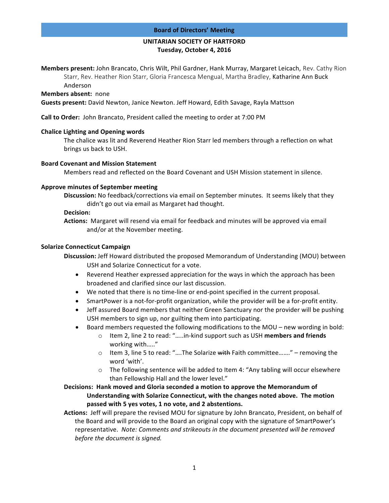### **Board of Directors' Meeting**

# **UNITARIAN SOCIETY OF HARTFORD Tuesday, October 4, 2016**

**Members present:** John Brancato, Chris Wilt, Phil Gardner, Hank Murray, Margaret Leicach, Rev. Cathy Rion Starr, Rev. Heather Rion Starr, Gloria Francesca Mengual, Martha Bradley, Katharine Ann Buck Anderson

### **Members absent:** none

**Guests present:** David Newton, Janice Newton. Jeff Howard, Edith Savage, Rayla Mattson

**Call to Order:** John Brancato, President called the meeting to order at 7:00 PM

### **Chalice Lighting and Opening words**

The chalice was lit and Reverend Heather Rion Starr led members through a reflection on what brings us back to USH.

#### **Board Covenant and Mission Statement**

Members read and reflected on the Board Covenant and USH Mission statement in silence.

### **Approve minutes of September meeting**

**Discussion:** No feedback/corrections via email on September minutes. It seems likely that they didn't go out via email as Margaret had thought.

#### **Decision:**

**Actions:** Margaret will resend via email for feedback and minutes will be approved via email and/or at the November meeting.

### **Solarize Connecticut Campaign**

**Discussion:** Jeff Howard distributed the proposed Memorandum of Understanding (MOU) between USH and Solarize Connecticut for a vote.

- Reverend Heather expressed appreciation for the ways in which the approach has been broadened and clarified since our last discussion.
- We noted that there is no time-line or end-point specified in the current proposal.
- SmartPower is a not-for-profit organization, while the provider will be a for-profit entity.
- Jeff assured Board members that neither Green Sanctuary nor the provider will be pushing USH members to sign up, nor guilting them into participating.
- Board members requested the following modifications to the  $MOU$  new wording in bold:
	- o Item 2, line 2 to read: "…..in-kind support such as USH **members and friends** working with....."
	- $\circ$  Item 3, line 5 to read: "....The Solarize with Faith committee......." removing the word 'with'.
	- $\circ$  The following sentence will be added to Item 4: "Any tabling will occur elsewhere than Fellowship Hall and the lower level."

# Decisions: Hank moved and Gloria seconded a motion to approve the Memorandum of Understanding with Solarize Connecticut, with the changes noted above. The motion passed with 5 yes votes, 1 no vote, and 2 abstentions.

Actions: Jeff will prepare the revised MOU for signature by John Brancato, President, on behalf of the Board and will provide to the Board an original copy with the signature of SmartPower's representative. Note: Comments and strikeouts in the document presented will be removed *before the document is signed.*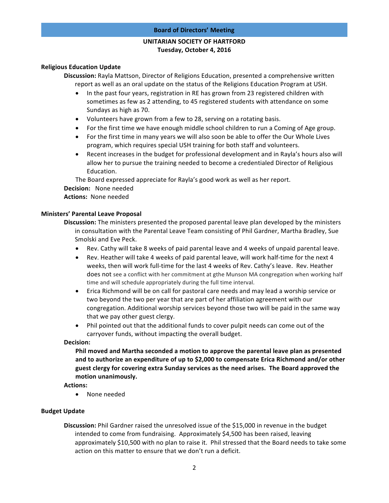# **UNITARIAN SOCIETY OF HARTFORD Tuesday, October 4, 2016**

## **Religious Education Update**

**Discussion:** Rayla Mattson, Director of Religions Education, presented a comprehensive written report as well as an oral update on the status of the Religions Education Program at USH.

- In the past four years, registration in RE has grown from 23 registered children with sometimes as few as 2 attending, to 45 registered students with attendance on some Sundays as high as 70.
- Volunteers have grown from a few to 28, serving on a rotating basis.
- For the first time we have enough middle school children to run a Coming of Age group.
- For the first time in many years we will also soon be able to offer the Our Whole Lives program, which requires special USH training for both staff and volunteers.
- Recent increases in the budget for professional development and in Rayla's hours also will allow her to pursue the training needed to become a credentialed Director of Religious Education.

The Board expressed appreciate for Rayla's good work as well as her report.

**Decision:** None needed

# Actions: None needed

# **Ministers' Parental Leave Proposal**

**Discussion:** The ministers presented the proposed parental leave plan developed by the ministers in consultation with the Parental Leave Team consisting of Phil Gardner, Martha Bradley, Sue Smolski and Eve Peck.

- Rev. Cathy will take 8 weeks of paid parental leave and 4 weeks of unpaid parental leave.
- Rev. Heather will take 4 weeks of paid parental leave, will work half-time for the next 4 weeks, then will work full-time for the last 4 weeks of Rev. Cathy's leave. Rev. Heather does not see a conflict with her commitment at gthe Munson MA congregation when working half time and will schedule appropriately during the full time interval.
- Erica Richmond will be on call for pastoral care needs and may lead a worship service or two beyond the two per year that are part of her affiliation agreement with our congregation. Additional worship services beyond those two will be paid in the same way that we pay other guest clergy.
- Phil pointed out that the additional funds to cover pulpit needs can come out of the carryover funds, without impacting the overall budget.

# **Decision:**

**Phil moved and Martha seconded a motion to approve the parental leave plan as presented** and to authorize an expenditure of up to \$2,000 to compensate Erica Richmond and/or other guest clergy for covering extra Sunday services as the need arises. The Board approved the motion unanimously.

**Actions:** 

• None needed

# **Budget Update**

**Discussion:** Phil Gardner raised the unresolved issue of the \$15,000 in revenue in the budget intended to come from fundraising. Approximately \$4,500 has been raised, leaving approximately \$10,500 with no plan to raise it. Phil stressed that the Board needs to take some action on this matter to ensure that we don't run a deficit.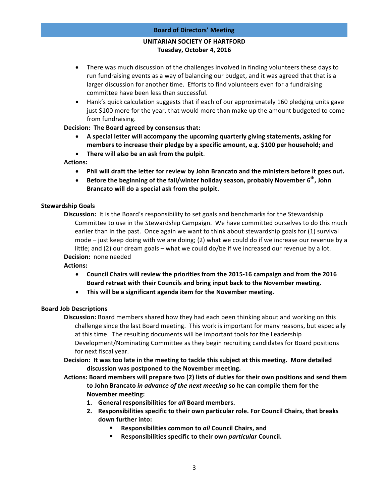### **Board of Directors' Meeting**

# **UNITARIAN SOCIETY OF HARTFORD Tuesday, October 4, 2016**

- There was much discussion of the challenges involved in finding volunteers these days to run fundraising events as a way of balancing our budget, and it was agreed that that is a larger discussion for another time. Efforts to find volunteers even for a fundraising committee have been less than successful.
- Hank's quick calculation suggests that if each of our approximately 160 pledging units gave just \$100 more for the year, that would more than make up the amount budgeted to come from fundraising.

**Decision: The Board agreed by consensus that:** 

- A special letter will accompany the upcoming quarterly giving statements, asking for members to increase their pledge by a specific amount, e.g. \$100 per household; and
- There will also be an ask from the pulpit.

# **Actions:**

- Phil will draft the letter for review by John Brancato and the ministers before it goes out.
- Before the beginning of the fall/winter holiday season, probably November 6<sup>th</sup>, John Brancato will do a special ask from the pulpit.

# **Stewardship Goals**

**Discussion:** It is the Board's responsibility to set goals and benchmarks for the Stewardship Committee to use in the Stewardship Campaign. We have committed ourselves to do this much earlier than in the past. Once again we want to think about stewardship goals for (1) survival mode  $-$  just keep doing with we are doing; (2) what we could do if we increase our revenue by a little; and (2) our dream goals – what we could do/be if we increased our revenue by a lot. **Decision:** none needed

# **Actions:**

- Council Chairs will review the priorities from the 2015-16 campaign and from the 2016 Board retreat with their Councils and bring input back to the November meeting.
- This will be a significant agenda item for the November meeting.

# **Board Job Descriptions**

**Discussion:** Board members shared how they had each been thinking about and working on this challenge since the last Board meeting. This work is important for many reasons, but especially at this time. The resulting documents will be important tools for the Leadership Development/Nominating Committee as they begin recruiting candidates for Board positions for next fiscal year.

Decision: It was too late in the meeting to tackle this subject at this meeting. More detailed discussion was postponed to the November meeting.

Actions: Board members will prepare two (2) lists of duties for their own positions and send them to John Brancato *in advance of the next meeting* so he can compile them for the **November meeting:**

- 1. General responsibilities for all Board members.
- 2. Responsibilities specific to their own particular role. For Council Chairs, that breaks **down further into:**
	- **EXECONSIBILITY EXECONDED EXECONDED Responsibilities common to all Council Chairs, and**
	- § **Responsibilities specific to their own** *particular* **Council.**